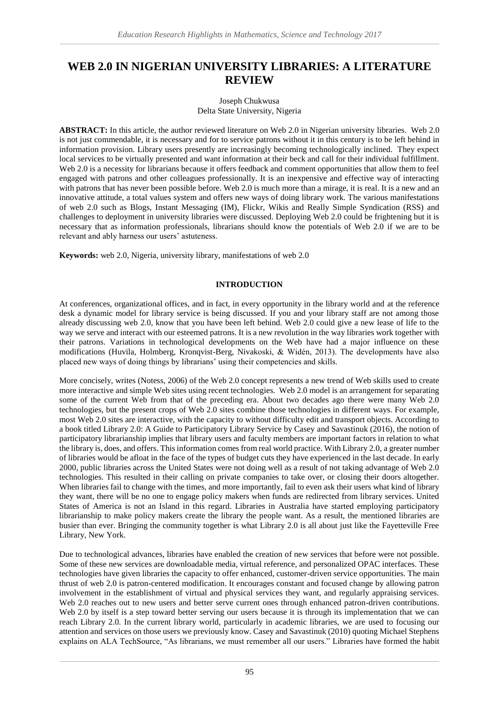# **WEB 2.0 IN NIGERIAN UNIVERSITY LIBRARIES: A LITERATURE REVIEW**

#### Joseph Chukwusa Delta State University, Nigeria

**ABSTRACT:** In this article, the author reviewed literature on Web 2.0 in Nigerian university libraries. Web 2.0 is not just commendable, it is necessary and for to service patrons without it in this century is to be left behind in information provision. Library users presently are increasingly becoming technologically inclined. They expect local services to be virtually presented and want information at their beck and call for their individual fulfillment. Web 2.0 is a necessity for librarians because it offers feedback and comment opportunities that allow them to feel engaged with patrons and other colleagues professionally. It is an inexpensive and effective way of interacting with patrons that has never been possible before. Web 2.0 is much more than a mirage, it is real. It is a new and an innovative attitude, a total values system and offers new ways of doing library work. The various manifestations of web 2.0 such as Blogs, Instant Messaging (IM), Flickr, Wikis and Really Simple Syndication (RSS) and challenges to deployment in university libraries were discussed. Deploying Web 2.0 could be frightening but it is necessary that as information professionals, librarians should know the potentials of Web 2.0 if we are to be relevant and ably harness our users' astuteness.

**Keywords:** web 2.0, Nigeria, university library, manifestations of web 2.0

## **INTRODUCTION**

At conferences, organizational offices, and in fact, in every opportunity in the library world and at the reference desk a dynamic model for library service is being discussed. If you and your library staff are not among those already discussing web 2.0, know that you have been left behind. Web 2.0 could give a new lease of life to the way we serve and interact with our esteemed patrons. It is a new revolution in the way libraries work together with their patrons. Variations in technological developments on the Web have had a major influence on these modifications (Huvila, Holmberg, Kronqvist-Berg, Nivakoski, & Widén, 2013). The developments have also placed new ways of doing things by librarians' using their competencies and skills.

More concisely, writes (Notess, 2006) of the Web 2.0 concept represents a new trend of Web skills used to create more interactive and simple Web sites using recent technologies. Web 2.0 model is an arrangement for separating some of the current Web from that of the preceding era. About two decades ago there were many Web 2.0 technologies, but the present crops of Web 2.0 sites combine those technologies in different ways. For example, most Web 2.0 sites are interactive, with the capacity to without difficulty edit and transport objects. According to a book titled Library 2.0: A Guide to Participatory Library Service by Casey and Savastinuk (2016), the notion of participatory librarianship implies that library users and faculty members are important factors in relation to what the library is, does, and offers. This information comes from real world practice. With Library 2.0, a greater number of libraries would be afloat in the face of the types of budget cuts they have experienced in the last decade. In early 2000, public libraries across the United States were not doing well as a result of not taking advantage of Web 2.0 technologies. This resulted in their calling on private companies to take over, or closing their doors altogether. When libraries fail to change with the times, and more importantly, fail to even ask their users what kind of library they want, there will be no one to engage policy makers when funds are redirected from library services. United States of America is not an Island in this regard. Libraries in Australia have started employing participatory librarianship to make policy makers create the library the people want. As a result, the mentioned libraries are busier than ever. Bringing the community together is what Library 2.0 is all about just like the Fayetteville Free Library, New York.

Due to technological advances, libraries have enabled the creation of new services that before were not possible. Some of these new services are downloadable media, virtual reference, and personalized OPAC interfaces. These technologies have given libraries the capacity to offer enhanced, customer-driven service opportunities. The main thrust of web 2.0 is patron-centered modification. It encourages constant and focused change by allowing patron involvement in the establishment of virtual and physical services they want, and regularly appraising services. Web 2.0 reaches out to new users and better serve current ones through enhanced patron-driven contributions. Web 2.0 by itself is a step toward better serving our users because it is through its implementation that we can reach Library 2.0. In the current library world, particularly in academic libraries, we are used to focusing our attention and services on those users we previously know. Casey and Savastinuk (2010) quoting Michael Stephens explains on ALA TechSource, "As librarians, we must remember all our users." Libraries have formed the habit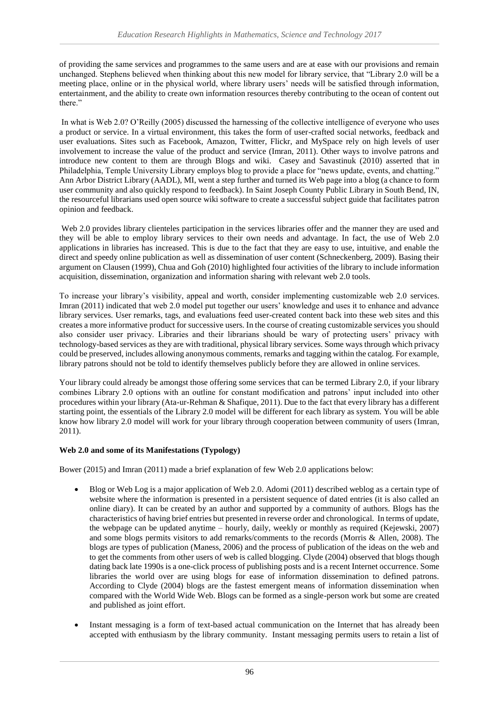of providing the same services and programmes to the same users and are at ease with our provisions and remain unchanged. Stephens believed when thinking about this new model for library service, that "Library 2.0 will be a meeting place, online or in the physical world, where library users' needs will be satisfied through information, entertainment, and the ability to create own information resources thereby contributing to the ocean of content out there."

In what is Web 2.0? O'Reilly (2005) discussed the harnessing of the collective intelligence of everyone who uses a product or service. In a virtual environment, this takes the form of user-crafted social networks, feedback and user evaluations. Sites such as Facebook, Amazon, Twitter, Flickr, and MySpace rely on high levels of user involvement to increase the value of the product and service (Imran, 2011). Other ways to involve patrons and introduce new content to them are through Blogs and wiki. Casey and Savastinuk (2010) asserted that in Philadelphia, Temple University Library employs blog to provide a place for "news update, events, and chatting." Ann Arbor District Library (AADL), MI, went a step further and turned its Web page into a blog (a chance to form user community and also quickly respond to feedback). In Saint Joseph County Public Library in South Bend, IN, the resourceful librarians used open source wiki software to create a successful subject guide that facilitates patron opinion and feedback.

Web 2.0 provides library clienteles participation in the services libraries offer and the manner they are used and they will be able to employ library services to their own needs and advantage. In fact, the use of Web 2.0 applications in libraries has increased. This is due to the fact that they are easy to use, intuitive, and enable the direct and speedy online publication as well as dissemination of user content (Schneckenberg, 2009). Basing their argument on Clausen (1999), Chua and Goh (2010) highlighted four activities of the library to include information acquisition, dissemination, organization and information sharing with relevant web 2.0 tools.

To increase your library's visibility, appeal and worth, consider implementing customizable web 2.0 services. Imran (2011) indicated that web 2.0 model put together our users' knowledge and uses it to enhance and advance library services. User remarks, tags, and evaluations feed user-created content back into these web sites and this creates a more informative product for successive users. In the course of creating customizable services you should also consider user privacy. Libraries and their librarians should be wary of protecting users' privacy with technology-based services as they are with traditional, physical library services. Some ways through which privacy could be preserved, includes allowing anonymous comments, remarks and tagging within the catalog. For example, library patrons should not be told to identify themselves publicly before they are allowed in online services.

Your library could already be amongst those offering some services that can be termed Library 2.0, if your library combines Library 2.0 options with an outline for constant modification and patrons' input included into other procedures within your library (Ata-ur-Rehman & Shafique, 2011). Due to the fact that every library has a different starting point, the essentials of the Library 2.0 model will be different for each library as system. You will be able know how library 2.0 model will work for your library through cooperation between community of users (Imran, 2011).

## **Web 2.0 and some of its Manifestations (Typology)**

Bower (2015) and Imran (2011) made a brief explanation of few Web 2.0 applications below:

- Blog or Web Log is a major application of Web 2.0. Adomi (2011) described weblog as a certain type of website where the information is presented in a persistent sequence of dated entries (it is also called an online diary). It can be created by an author and supported by a community of authors. Blogs has the characteristics of having brief entries but presented in reverse order and chronological. In terms of update, the webpage can be updated anytime – hourly, daily, weekly or monthly as required (Kejewski, 2007) and some blogs permits visitors to add remarks/comments to the records (Morris & Allen, 2008). The blogs are types of publication (Maness, 2006) and the process of publication of the ideas on the web and to get the comments from other users of web is called blogging. Clyde (2004) observed that blogs though dating back late 1990s is a one-click process of publishing posts and is a recent Internet occurrence. Some libraries the world over are using blogs for ease of information dissemination to defined patrons. According to Clyde (2004) blogs are the fastest emergent means of information dissemination when compared with the World Wide Web. Blogs can be formed as a single-person work but some are created and published as joint effort.
- Instant messaging is a form of text-based actual communication on the Internet that has already been accepted with enthusiasm by the library community. Instant messaging permits users to retain a list of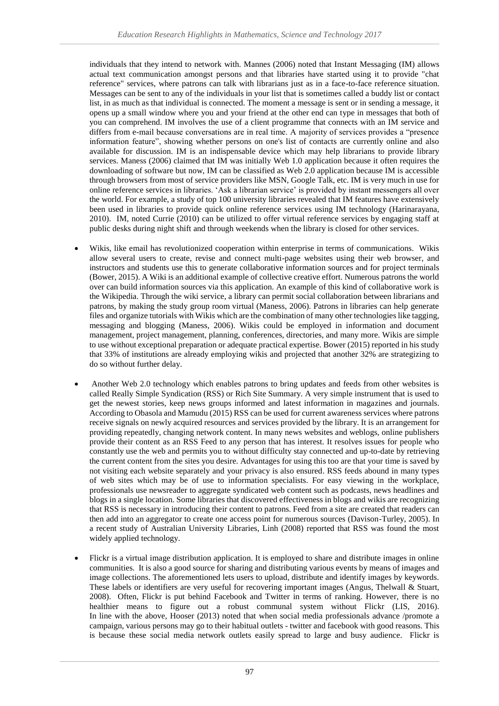individuals that they intend to network with. Mannes (2006) noted that Instant Messaging (IM) allows actual text communication amongst persons and that libraries have started using it to provide "chat reference" services, where patrons can talk with librarians just as in a face-to-face reference situation. Messages can be sent to any of the individuals in your list that is sometimes called a buddy list or contact list, in as much as that individual is connected. The moment a message is sent or in sending a message, it opens up a small window where you and your friend at the other end can type in messages that both of you can comprehend. IM involves the use of a client programme that connects with an IM service and differs from e-mail because conversations are in real time. A majority of services provides a "presence information feature", showing whether persons on one's list of contacts are currently online and also available for discussion. IM is an indispensable device which may help librarians to provide library services. Maness (2006) claimed that IM was initially Web 1.0 application because it often requires the downloading of software but now, IM can be classified as Web 2.0 application because IM is accessible through browsers from most of service providers like MSN, Google Talk, etc. IM is very much in use for online reference services in libraries. 'Ask a librarian service' is provided by instant messengers all over the world. For example, a study of top 100 university libraries revealed that IM features have extensively been used in libraries to provide quick online reference services using IM technology (Harinarayana, 2010). IM, noted Currie (2010) can be utilized to offer virtual reference services by engaging staff at public desks during night shift and through weekends when the library is closed for other services.

- Wikis, like email has revolutionized cooperation within enterprise in terms of communications. Wikis allow several users to create, revise and connect multi-page websites using their web browser, and instructors and students use this to generate collaborative information sources and for project terminals (Bower, 2015). A Wiki is an additional example of collective creative effort. Numerous patrons the world over can build information sources via this application. An example of this kind of collaborative work is the Wikipedia. Through the wiki service, a library can permit social collaboration between librarians and patrons, by making the study group room virtual (Maness, 2006). Patrons in libraries can help generate files and organize tutorials with Wikis which are the combination of many other technologies like tagging, messaging and blogging (Maness, 2006). Wikis could be employed in information and document management, project management, planning, conferences, directories, and many more. Wikis are simple to use without exceptional preparation or adequate practical expertise. Bower (2015) reported in his study that 33% of institutions are already employing wikis and projected that another 32% are strategizing to do so without further delay.
- Another Web 2.0 technology which enables patrons to bring updates and feeds from other websites is called Really Simple Syndication (RSS) or Rich Site Summary. A very simple instrument that is used to get the newest stories, keep news groups informed and latest information in magazines and journals. According to Obasola and Mamudu (2015) RSS can be used for current awareness services where patrons receive signals on newly acquired resources and services provided by the library. It is an arrangement for providing repeatedly, changing network content. In many news websites and weblogs, online publishers provide their content as an RSS Feed to any person that has interest. It resolves issues for people who constantly use the web and permits you to without difficulty stay connected and up-to-date by retrieving the current content from the sites you desire. Advantages for using this too are that your time is saved by not visiting each website separately and your privacy is also ensured. RSS feeds abound in many types of web sites which may be of use to information specialists. For easy viewing in the workplace, professionals use newsreader to aggregate syndicated web content such as podcasts, news headlines and blogs in a single location. Some libraries that discovered effectiveness in blogs and wikis are recognizing that RSS is necessary in introducing their content to patrons. Feed from a site are created that readers can then add into an aggregator to create one access point for numerous sources (Davison-Turley, 2005). In a recent study of Australian University Libraries, Linh (2008) reported that RSS was found the most widely applied technology.
- Flickr is a virtual image distribution application. It is employed to share and distribute images in online communities. It is also a good source for sharing and distributing various events by means of images and image collections. The aforementioned lets users to upload, distribute and identify images by keywords. These labels or identifiers are very useful for recovering important images (Angus, Thelwall & Stuart, 2008). Often, Flickr is put behind Facebook and Twitter in terms of ranking. However, there is no healthier means to figure out a robust communal system without Flickr (LIS, 2016). In line with the above, Hooser (2013) noted that when social media professionals advance /promote a campaign, various persons may go to their habitual outlets - twitter and facebook with good reasons. This is because these social media network outlets easily spread to large and busy audience. Flickr is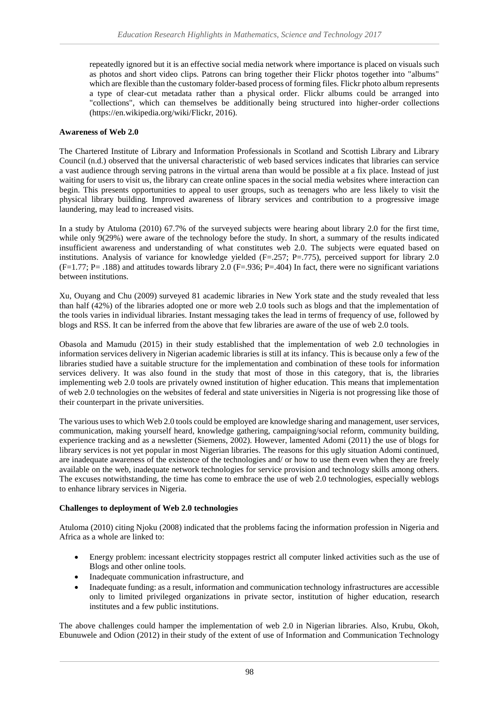repeatedly ignored but it is an effective social media network where importance is placed on visuals such as photos and short video clips. Patrons can bring together their Flickr photos together into "albums" which are flexible than the customary folder-based process of forming files. Flickr photo album represents a type of clear-cut metadata rather than a physical order. Flickr albums could be arranged into "collections", which can themselves be additionally being structured into higher-order collections (https://en.wikipedia.org/wiki/Flickr, 2016).

### **Awareness of Web 2.0**

The Chartered Institute of Library and Information Professionals in Scotland and Scottish Library and Library Council (n.d.) observed that the universal characteristic of web based services indicates that libraries can service a vast audience through serving patrons in the virtual arena than would be possible at a fix place. Instead of just waiting for users to visit us, the library can create online spaces in the social media websites where interaction can begin. This presents opportunities to appeal to user groups, such as teenagers who are less likely to visit the physical library building. Improved awareness of library services and contribution to a progressive image laundering, may lead to increased visits.

In a study by Atuloma (2010) 67.7% of the surveyed subjects were hearing about library 2.0 for the first time, while only 9(29%) were aware of the technology before the study. In short, a summary of the results indicated insufficient awareness and understanding of what constitutes web 2.0. The subjects were equated based on institutions. Analysis of variance for knowledge yielded (F=.257; P=.775), perceived support for library 2.0  $(F=1.77; P=.188)$  and attitudes towards library 2.0  $(F=.936; P=.404)$  In fact, there were no significant variations between institutions.

Xu, Ouyang and Chu (2009) surveyed 81 academic libraries in New York state and the study revealed that less than half (42%) of the libraries adopted one or more web 2.0 tools such as blogs and that the implementation of the tools varies in individual libraries. Instant messaging takes the lead in terms of frequency of use, followed by blogs and RSS. It can be inferred from the above that few libraries are aware of the use of web 2.0 tools.

Obasola and Mamudu (2015) in their study established that the implementation of web 2.0 technologies in information services delivery in Nigerian academic libraries is still at its infancy. This is because only a few of the libraries studied have a suitable structure for the implementation and combination of these tools for information services delivery. It was also found in the study that most of those in this category, that is, the libraries implementing web 2.0 tools are privately owned institution of higher education. This means that implementation of web 2.0 technologies on the websites of federal and state universities in Nigeria is not progressing like those of their counterpart in the private universities.

The various uses to which Web 2.0 tools could be employed are knowledge sharing and management, user services, communication, making yourself heard, knowledge gathering, campaigning/social reform, community building, experience tracking and as a newsletter (Siemens, 2002). However, lamented Adomi (2011) the use of blogs for library services is not yet popular in most Nigerian libraries. The reasons for this ugly situation Adomi continued, are inadequate awareness of the existence of the technologies and/ or how to use them even when they are freely available on the web, inadequate network technologies for service provision and technology skills among others. The excuses notwithstanding, the time has come to embrace the use of web 2.0 technologies, especially weblogs to enhance library services in Nigeria.

#### **Challenges to deployment of Web 2.0 technologies**

Atuloma (2010) citing Njoku (2008) indicated that the problems facing the information profession in Nigeria and Africa as a whole are linked to:

- Energy problem: incessant electricity stoppages restrict all computer linked activities such as the use of Blogs and other online tools.
- Inadequate communication infrastructure, and
- Inadequate funding: as a result, information and communication technology infrastructures are accessible only to limited privileged organizations in private sector, institution of higher education, research institutes and a few public institutions.

The above challenges could hamper the implementation of web 2.0 in Nigerian libraries. Also, Krubu, Okoh, Ebunuwele and Odion (2012) in their study of the extent of use of Information and Communication Technology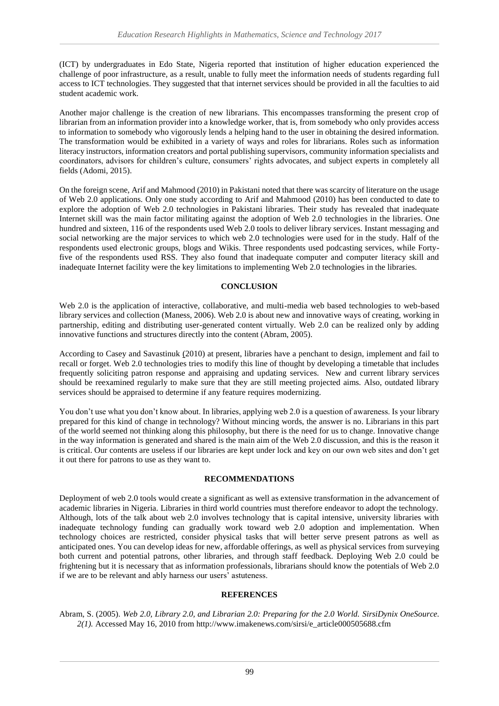(ICT) by undergraduates in Edo State, Nigeria reported that institution of higher education experienced the challenge of poor infrastructure, as a result, unable to fully meet the information needs of students regarding full access to ICT technologies. They suggested that that internet services should be provided in all the faculties to aid student academic work.

Another major challenge is the creation of new librarians. This encompasses transforming the present crop of librarian from an information provider into a knowledge worker, that is, from somebody who only provides access to information to somebody who vigorously lends a helping hand to the user in obtaining the desired information. The transformation would be exhibited in a variety of ways and roles for librarians. Roles such as information literacy instructors, information creators and portal publishing supervisors, community information specialists and coordinators, advisors for children's culture, consumers' rights advocates, and subject experts in completely all fields (Adomi, 2015).

On the foreign scene, Arif and Mahmood (2010) in Pakistani noted that there was scarcity of literature on the usage of Web 2.0 applications. Only one study according to Arif and Mahmood (2010) has been conducted to date to explore the adoption of Web 2.0 technologies in Pakistani libraries. Their study has revealed that inadequate Internet skill was the main factor militating against the adoption of Web 2.0 technologies in the libraries. One hundred and sixteen, 116 of the respondents used Web 2.0 tools to deliver library services. Instant messaging and social networking are the major services to which web 2.0 technologies were used for in the study. Half of the respondents used electronic groups, blogs and Wikis. Three respondents used podcasting services, while Fortyfive of the respondents used RSS. They also found that inadequate computer and computer literacy skill and inadequate Internet facility were the key limitations to implementing Web 2.0 technologies in the libraries.

## **CONCLUSION**

Web 2.0 is the application of interactive, collaborative, and multi-media web based technologies to web-based library services and collection (Maness, 2006). Web 2.0 is about new and innovative ways of creating, working in partnership, editing and distributing user-generated content virtually. Web 2.0 can be realized only by adding innovative functions and structures directly into the content (Abram, 2005).

According to Casey and Savastinuk (2010) at present, libraries have a penchant to design, implement and fail to recall or forget. Web 2.0 technologies tries to modify this line of thought by developing a timetable that includes frequently soliciting patron response and appraising and updating services. New and current library services should be reexamined regularly to make sure that they are still meeting projected aims. Also, outdated library services should be appraised to determine if any feature requires modernizing.

You don't use what you don't know about. In libraries, applying web 2.0 is a question of awareness. Is your library prepared for this kind of change in technology? Without mincing words, the answer is no. Librarians in this part of the world seemed not thinking along this philosophy, but there is the need for us to change. Innovative change in the way information is generated and shared is the main aim of the Web 2.0 discussion, and this is the reason it is critical. Our contents are useless if our libraries are kept under lock and key on our own web sites and don't get it out there for patrons to use as they want to.

## **RECOMMENDATIONS**

Deployment of web 2.0 tools would create a significant as well as extensive transformation in the advancement of academic libraries in Nigeria. Libraries in third world countries must therefore endeavor to adopt the technology. Although, lots of the talk about web 2.0 involves technology that is capital intensive, university libraries with inadequate technology funding can gradually work toward web 2.0 adoption and implementation. When technology choices are restricted, consider physical tasks that will better serve present patrons as well as anticipated ones. You can develop ideas for new, affordable offerings, as well as physical services from surveying both current and potential patrons, other libraries, and through staff feedback. Deploying Web 2.0 could be frightening but it is necessary that as information professionals, librarians should know the potentials of Web 2.0 if we are to be relevant and ably harness our users' astuteness.

## **REFERENCES**

Abram, S. (2005). *Web 2.0, Library 2.0, and Librarian 2.0: Preparing for the 2.0 World. SirsiDynix OneSource. 2(1).* Accessed May 16, 2010 from http://www.imakenews.com/sirsi/e\_article000505688.cfm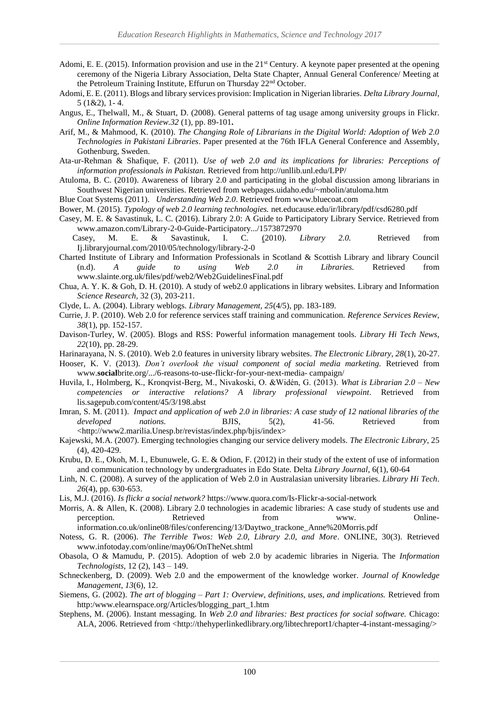- Adomi, E. E. (2015). Information provision and use in the 21<sup>st</sup> Century. A keynote paper presented at the opening ceremony of the Nigeria Library Association, Delta State Chapter, Annual General Conference/ Meeting at the Petroleum Training Institute, Effurun on Thursday 22nd October.
- Adomi, E. E. (2011). Blogs and library services provision: Implication in Nigerian libraries. *Delta Library Journal,* 5 (1&2), 1- 4.
- Angus, E., Thelwall, M., & Stuart, D. (2008). General patterns of tag usage among university groups in Flickr. *Online Information Review.32* (1)*,* pp. 89-101**.**
- Arif, M., & Mahmood, K. (2010). *The Changing Role of Librarians in the Digital World: Adoption of Web 2.0 Technologies in Pakistani Libraries*. Paper presented at the 76th IFLA General Conference and Assembly, Gothenburg, Sweden.
- Ata-ur-Rehman & Shafique, F. (2011). *Use of web 2.0 and its implications for libraries: Perceptions of information professionals in Pakistan.* Retrieved from http://unllib.unl.edu/LPP/
- Atuloma, B. C. (2010). Awareness of library 2.0 and participating in the global discussion among librarians in Southwest Nigerian universities. Retrieved from webpages.uidaho.edu/~mbolin/atuloma.htm

Blue Coat Systems (2011). *Understanding Web 2.0*. Retrieved from www.bluecoat.com

Bower, M. (2015). *Typology of web 2.0 learning technologies.* net.educause.edu/ir/library**/**pdf/csd6280.pdf

- Casey, M. E. & Savastinuk, L. C. (2016). Library 2.0: A Guide to Participatory Library Service. Retrieved from www.amazon.com/Library-2-0-Guide-Participatory.../1573872970
	- Casey, M. E. & Savastinuk, I. C. (2010). *Library 2.0.* Retrieved from Ij.libraryjournal.com/2010/05/technology/library-2-0
- Charted Institute of Library and Information Professionals in Scotland & Scottish Library and library Council (n.d). *A guide to using Web 2.0 in Libraries.* Retrieved from www.slainte.org.uk/files/pdf/web2/Web2GuidelinesFinal.pdf
- Chua, A. Y. K. & Goh, D. H. (2010). A study of web2.0 applications in library websites. Library and Information *Science Research,* 32 (3), 203-211.

Clyde, L. A. (2004). Library weblogs. *Library Management, 25*(4/5), pp. 183-189.

- Currie, J. P. (2010). Web 2.0 for reference services staff training and communication. *Reference Services Review, 38*(1), pp. 152-157.
- Davison-Turley, W. (2005). Blogs and RSS: Powerful information management tools. *Library Hi Tech News*, *22*(10), pp. 28-29.

Harinarayana, N. S. (2010). Web 2.0 features in university library websites. *The Electronic Library, 28*(1), 20-27.

- Hooser, K. V. (2013). *Don't overlook the visual component of social media marketing.* Retrieved from www.**social**brite.org/.../6-reasons-to-use-flickr-for-your-next-media- campaign/
- Huvila, I., Holmberg, K., Kronqvist-Berg, M., Nivakoski, O. &Widén, G. (2013). *What is Librarian 2.0 – New competencies or interactive relations? A library professional viewpoint*. Retrieved from lis.sagepub.com/content/45/3/198.abst
- Imran, S. M. (2011).*Impact and application of web 2.0 in libraries: A case study of 12 national libraries of the developed nations.* BJIS, 5(2), 41-56. Retrieved from <http://www2.marilia.Unesp.br/revistas/index.php/bjis/index>
- Kajewski, M.A. (2007). Emerging technologies changing our service delivery models. *The Electronic Library,* 25 (4), 420-429.
- Krubu, D. E., Okoh, M. I., Ebunuwele, G. E. & Odion, F. (2012) in their study of the extent of use of information and communication technology by undergraduates in Edo State. Delta *Library Journal*, 6(1), 60-64
- Linh, N. C. (2008). A survey of the application of Web 2.0 in Australasian university libraries. *Library Hi Tech*. *26*(4), pp. 630-653.
- Lis, M.J. (2016). *Is flickr a social network?* https://www.quora.com/Is-Flickr-a-social-network
- Morris, A. & Allen, K. (2008). Library 2.0 technologies in academic libraries: A case study of students use and perception. Retrieved from www. Onlineinformation.co.uk/online08/files/conferencing/13/Daytwo\_trackone\_Anne%20Morris.pdf
- Notess, G. R. (2006). *The Terrible Twos: Web 2.0, Library 2.0, and More*. ONLINE, 30(3). Retrieved www.infotoday.com/online/may06/OnTheNet.shtml
- Obasola, O & Mamudu, P. (2015). Adoption of web 2.0 by academic libraries in Nigeria. The *Information Technologists*, 12 (2), 143 – 149.
- Schneckenberg, D. (2009). Web 2.0 and the empowerment of the knowledge worker. *Journal of Knowledge Management*, *13*(6), 12.
- Siemens, G. (2002). *The art of blogging – Part 1: Overview, definitions, uses, and implications.* Retrieved from http:/www.elearnspace.org/Articles/blogging\_part\_1.htm
- Stephens, M. (2006). Instant messaging. In *Web 2.0 and libraries: Best practices for social software.* Chicago: ALA, 2006. Retrieved from <http://thehyperlinkedlibrary.org/libtechreport1/chapter-4-instant-messaging/>